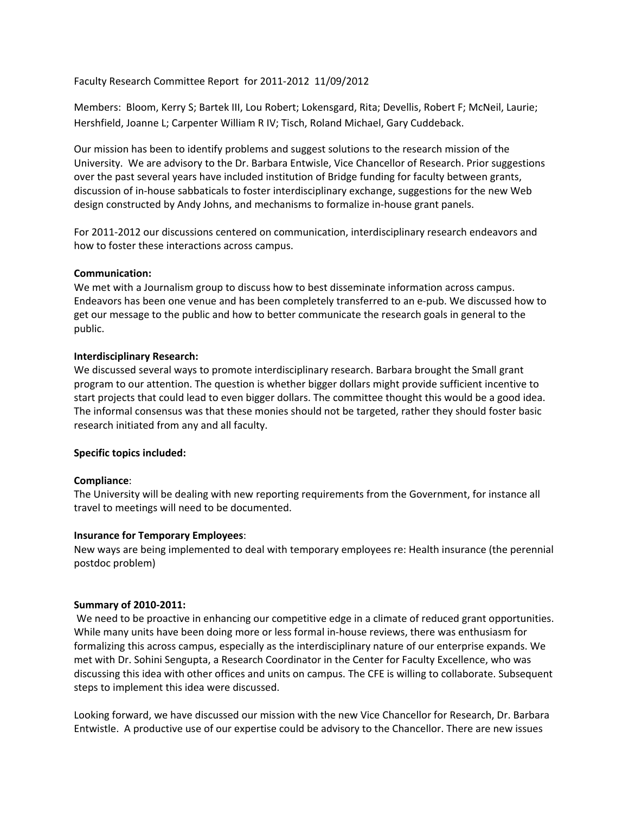Faculty Research Committee Report for 2011‐2012 11/09/2012

Members: Bloom, Kerry S; Bartek III, Lou Robert; Lokensgard, Rita; Devellis, Robert F; McNeil, Laurie; Hershfield, Joanne L; Carpenter William R IV; Tisch, Roland Michael, Gary Cuddeback.

Our mission has been to identify problems and suggest solutions to the research mission of the University. We are advisory to the Dr. Barbara Entwisle, Vice Chancellor of Research. Prior suggestions over the past several years have included institution of Bridge funding for faculty between grants, discussion of in‐house sabbaticals to foster interdisciplinary exchange, suggestions for the new Web design constructed by Andy Johns, and mechanisms to formalize in‐house grant panels.

For 2011-2012 our discussions centered on communication, interdisciplinary research endeavors and how to foster these interactions across campus.

## **Communication:**

We met with a Journalism group to discuss how to best disseminate information across campus. Endeavors has been one venue and has been completely transferred to an e‐pub. We discussed how to get our message to the public and how to better communicate the research goals in general to the public.

## **Interdisciplinary Research:**

We discussed several ways to promote interdisciplinary research. Barbara brought the Small grant program to our attention. The question is whether bigger dollars might provide sufficient incentive to start projects that could lead to even bigger dollars. The committee thought this would be a good idea. The informal consensus was that these monies should not be targeted, rather they should foster basic research initiated from any and all faculty.

# **Specific topics included:**

# **Compliance**:

The University will be dealing with new reporting requirements from the Government, for instance all travel to meetings will need to be documented.

### **Insurance for Temporary Employees**:

New ways are being implemented to deal with temporary employees re: Health insurance (the perennial postdoc problem)

### **Summary of 2010‐2011:**

We need to be proactive in enhancing our competitive edge in a climate of reduced grant opportunities. While many units have been doing more or less formal in‐house reviews, there was enthusiasm for formalizing this across campus, especially as the interdisciplinary nature of our enterprise expands. We met with Dr. Sohini Sengupta, a Research Coordinator in the Center for Faculty Excellence, who was discussing this idea with other offices and units on campus. The CFE is willing to collaborate. Subsequent steps to implement this idea were discussed.

Looking forward, we have discussed our mission with the new Vice Chancellor for Research, Dr. Barbara Entwistle. A productive use of our expertise could be advisory to the Chancellor. There are new issues